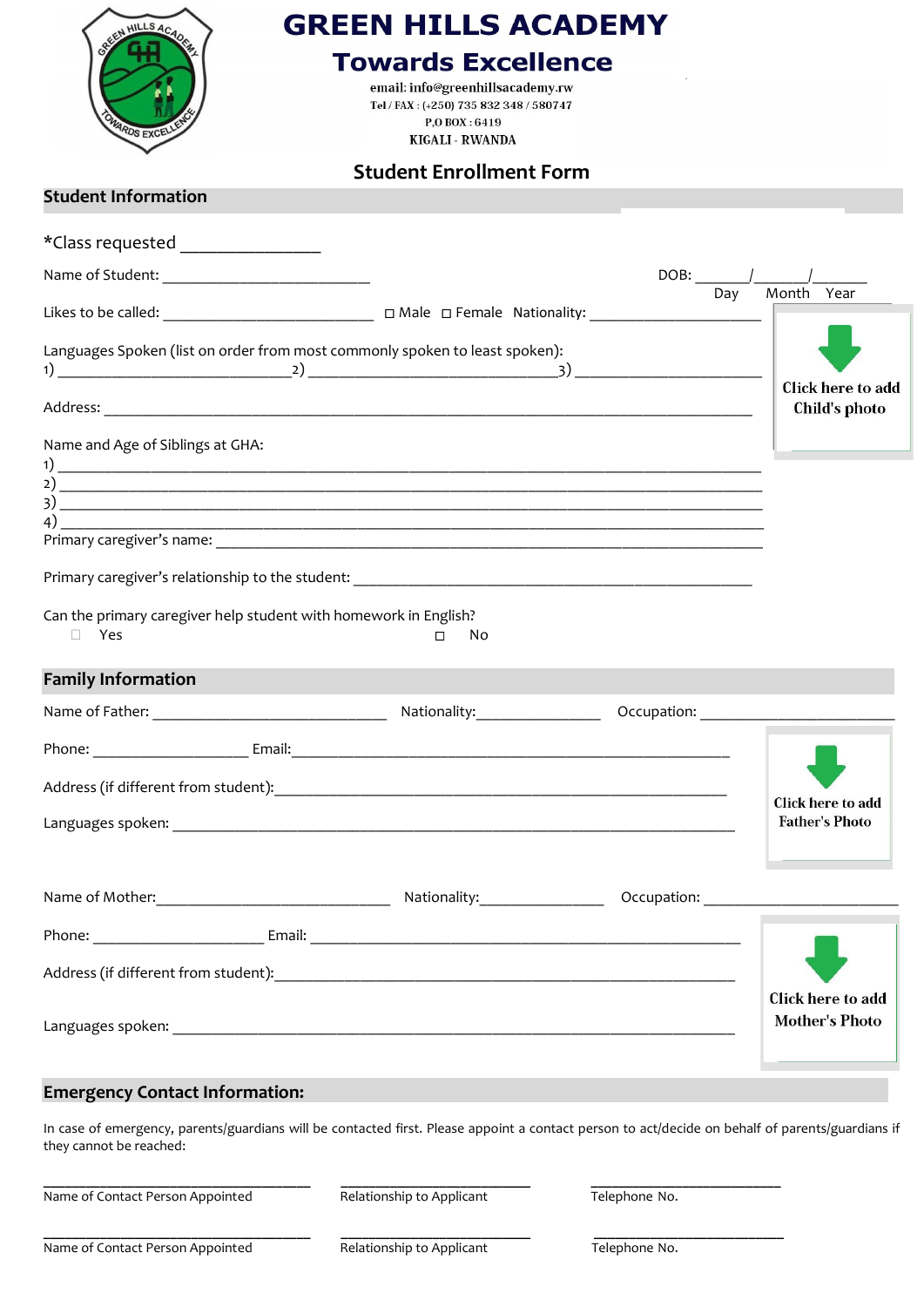| HILLS ACAO<br><b>ARDS EXCF</b>                                                                                                                  | <b>GREEN HILLS ACADEMY</b><br><b>Towards Excellence</b><br>email: info@greenhillsacademy.rw<br>Tel / FAX: (+250) 735 832 348 / 580747<br>P.O BOX: 6419<br><b>KIGALI - RWANDA</b> |                                            |
|-------------------------------------------------------------------------------------------------------------------------------------------------|----------------------------------------------------------------------------------------------------------------------------------------------------------------------------------|--------------------------------------------|
| <b>Student Information</b>                                                                                                                      | <b>Student Enrollment Form</b>                                                                                                                                                   |                                            |
|                                                                                                                                                 |                                                                                                                                                                                  |                                            |
| *Class requested ___________________                                                                                                            |                                                                                                                                                                                  |                                            |
|                                                                                                                                                 |                                                                                                                                                                                  | Day Month Year                             |
|                                                                                                                                                 |                                                                                                                                                                                  |                                            |
|                                                                                                                                                 | Languages Spoken (list on order from most commonly spoken to least spoken):                                                                                                      |                                            |
|                                                                                                                                                 |                                                                                                                                                                                  | <b>Click here to add</b>                   |
|                                                                                                                                                 |                                                                                                                                                                                  | Child's photo                              |
| Name and Age of Siblings at GHA:<br>Can the primary caregiver help student with homework in English?<br>$\Box$ Yes<br><b>Family Information</b> | $\overline{3}$ ) $\overline{\phantom{a}}$<br>No.<br>$\Box$                                                                                                                       |                                            |
|                                                                                                                                                 |                                                                                                                                                                                  |                                            |
|                                                                                                                                                 |                                                                                                                                                                                  |                                            |
|                                                                                                                                                 |                                                                                                                                                                                  | Click here to add                          |
|                                                                                                                                                 |                                                                                                                                                                                  | <b>Father's Photo</b>                      |
|                                                                                                                                                 |                                                                                                                                                                                  |                                            |
|                                                                                                                                                 |                                                                                                                                                                                  |                                            |
|                                                                                                                                                 |                                                                                                                                                                                  |                                            |
|                                                                                                                                                 |                                                                                                                                                                                  | Click here to add<br><b>Mother's Photo</b> |

## **Emergency Contact Information:**

In case of emergency, parents/guardians will be contacted first. Please appoint a contact person to act/decide on behalf of parents/guardians if they cannot be reached:

Name of Contact Person Appointed **Relationship to Applicant** Telephone No.

**\_\_\_\_\_\_\_\_\_\_\_\_\_\_\_\_\_\_\_\_\_\_\_\_\_\_\_\_\_\_\_\_\_\_\_\_\_\_ \_\_\_\_\_\_\_\_\_\_\_\_\_\_\_\_\_\_\_\_\_\_\_\_\_\_\_ \_\_\_\_\_\_\_\_\_\_\_\_\_\_\_\_\_\_\_\_\_\_\_\_\_\_\_**

Name of Contact Person Appointed **Relationship to Applicant** Telephone No.

**\_\_\_\_\_\_\_\_\_\_\_\_\_\_\_\_\_\_\_\_\_\_\_\_\_\_\_\_\_\_\_\_\_\_\_\_\_\_ \_\_\_\_\_\_\_\_\_\_\_\_\_\_\_\_\_\_\_\_\_\_\_\_\_\_\_ \_\_\_\_\_\_\_\_\_\_\_\_\_\_\_\_\_\_\_\_\_\_\_\_\_\_\_**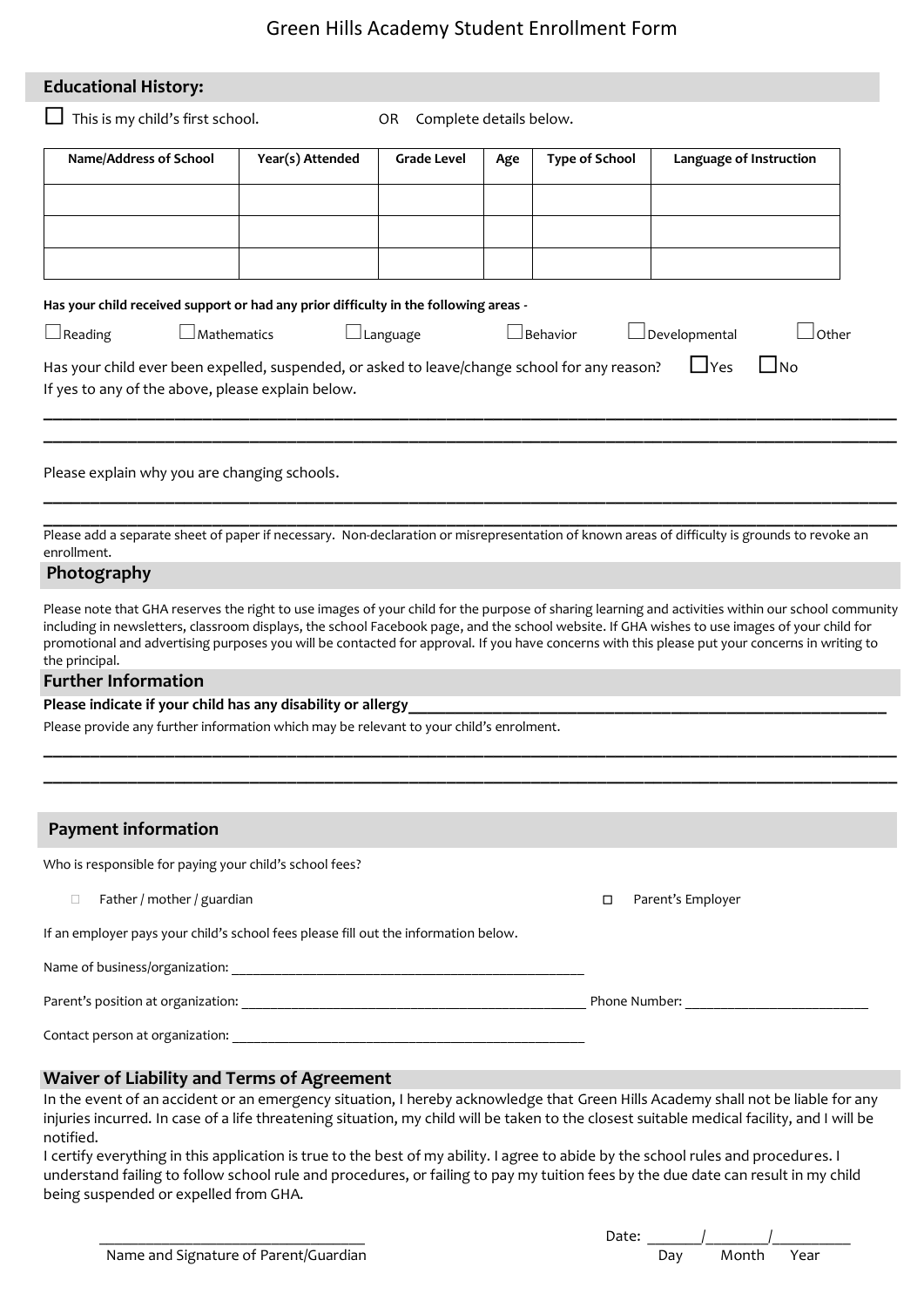# Green Hills Academy Student Enrollment Form

| <b>Educational History:</b>                                                                                                                                                                                                                                                                     |                  |                                |     |                       |                               |
|-------------------------------------------------------------------------------------------------------------------------------------------------------------------------------------------------------------------------------------------------------------------------------------------------|------------------|--------------------------------|-----|-----------------------|-------------------------------|
| This is my child's first school.                                                                                                                                                                                                                                                                |                  | Complete details below.<br>OR. |     |                       |                               |
| Name/Address of School                                                                                                                                                                                                                                                                          | Year(s) Attended | <b>Grade Level</b>             | Age | <b>Type of School</b> | Language of Instruction       |
|                                                                                                                                                                                                                                                                                                 |                  |                                |     |                       |                               |
|                                                                                                                                                                                                                                                                                                 |                  |                                |     |                       |                               |
|                                                                                                                                                                                                                                                                                                 |                  |                                |     |                       |                               |
|                                                                                                                                                                                                                                                                                                 |                  |                                |     |                       |                               |
| Has your child received support or had any prior difficulty in the following areas -<br>$\Box$ Reading<br>$\lrcorner$ Mathematics                                                                                                                                                               |                  | $\Box$ Language                |     | $\Box$ Behavior       | Developmental<br><b>Other</b> |
|                                                                                                                                                                                                                                                                                                 |                  |                                |     |                       | $\Box$ Yes<br>l No            |
| Has your child ever been expelled, suspended, or asked to leave/change school for any reason?<br>If yes to any of the above, please explain below.                                                                                                                                              |                  |                                |     |                       |                               |
|                                                                                                                                                                                                                                                                                                 |                  |                                |     |                       |                               |
|                                                                                                                                                                                                                                                                                                 |                  |                                |     |                       |                               |
| Please explain why you are changing schools.                                                                                                                                                                                                                                                    |                  |                                |     |                       |                               |
|                                                                                                                                                                                                                                                                                                 |                  |                                |     |                       |                               |
| Please add a separate sheet of paper if necessary. Non-declaration or misrepresentation of known areas of difficulty is grounds to revoke an<br>enrollment.                                                                                                                                     |                  |                                |     |                       |                               |
| Photography                                                                                                                                                                                                                                                                                     |                  |                                |     |                       |                               |
| Please note that GHA reserves the right to use images of your child for the purpose of sharing learning and activities within our school community                                                                                                                                              |                  |                                |     |                       |                               |
| including in newsletters, classroom displays, the school Facebook page, and the school website. If GHA wishes to use images of your child for<br>promotional and advertising purposes you will be contacted for approval. If you have concerns with this please put your concerns in writing to |                  |                                |     |                       |                               |
| the principal.                                                                                                                                                                                                                                                                                  |                  |                                |     |                       |                               |
| <b>Further Information</b><br>Please indicate if your child has any disability or allergy                                                                                                                                                                                                       |                  |                                |     |                       |                               |
| Please provide any further information which may be relevant to your child's enrolment.                                                                                                                                                                                                         |                  |                                |     |                       |                               |
|                                                                                                                                                                                                                                                                                                 |                  |                                |     |                       |                               |
|                                                                                                                                                                                                                                                                                                 |                  |                                |     |                       |                               |
| <b>Payment information</b>                                                                                                                                                                                                                                                                      |                  |                                |     |                       |                               |
| Who is responsible for paying your child's school fees?                                                                                                                                                                                                                                         |                  |                                |     |                       |                               |
| Father / mother / guardian<br>$\Box$                                                                                                                                                                                                                                                            |                  |                                |     | □                     | Parent's Employer             |
| If an employer pays your child's school fees please fill out the information below.                                                                                                                                                                                                             |                  |                                |     |                       |                               |
|                                                                                                                                                                                                                                                                                                 |                  |                                |     |                       |                               |
|                                                                                                                                                                                                                                                                                                 |                  |                                |     |                       |                               |
|                                                                                                                                                                                                                                                                                                 |                  |                                |     |                       |                               |
|                                                                                                                                                                                                                                                                                                 |                  |                                |     |                       |                               |
| Waiver of Liability and Terms of Agreement<br>In the event of an accident or an emergency situation, I hereby acknowledge that Green Hills Academy shall not be liable for any                                                                                                                  |                  |                                |     |                       |                               |
| injuries incurred. In case of a life threatening situation, my child will be taken to the closest suitable medical facility, and I will be                                                                                                                                                      |                  |                                |     |                       |                               |
| notified.<br>Leertify everything in this application is true to the best of my ability. Lagree to abide by the school rules and procedures. I                                                                                                                                                   |                  |                                |     |                       |                               |

I certify everything in this application is true to the best of my ability. I agree to abide by the school rules and procedures. I understand failing to follow school rule and procedures, or failing to pay my tuition fees by the due date can result in my child being suspended or expelled from GHA.

|                                       | Date: |     |            |  |
|---------------------------------------|-------|-----|------------|--|
| Name and Signature of Parent/Guardian |       | Day | Month Year |  |